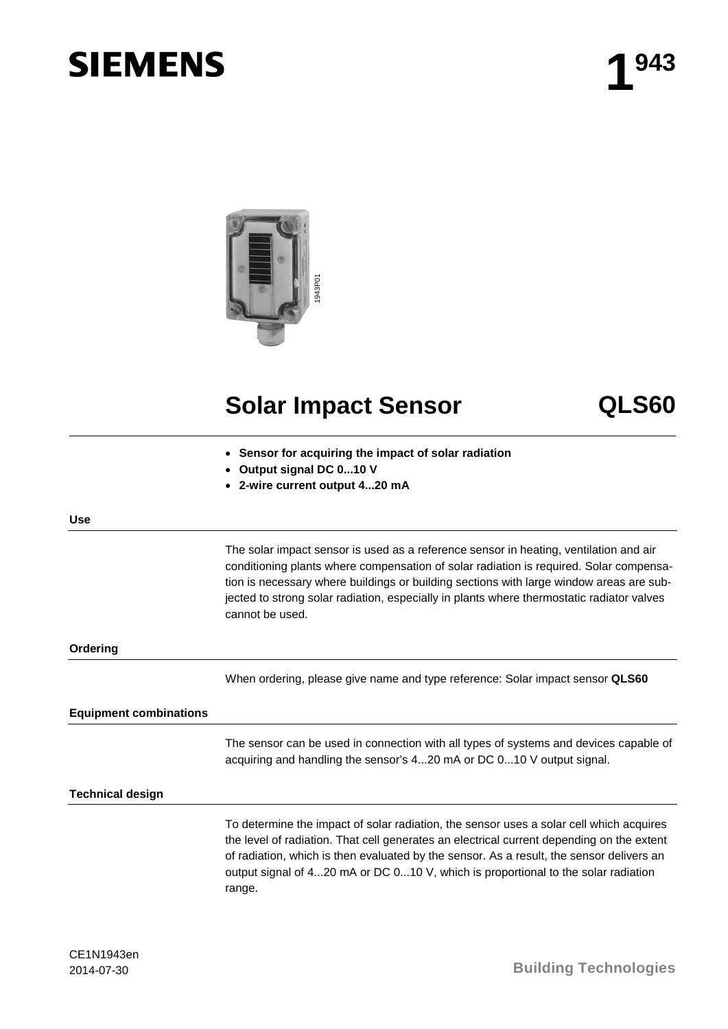# **SIEMENS**



## **Solar Impact Sensor QLS60**

- **Sensor for acquiring the impact of solar radiation**
- **Output signal DC 0...10 V**
- **2-wire current output 4...20 mA**

#### **Use**

The solar impact sensor is used as a reference sensor in heating, ventilation and air conditioning plants where compensation of solar radiation is required. Solar compensation is necessary where buildings or building sections with large window areas are subjected to strong solar radiation, especially in plants where thermostatic radiator valves cannot be used.

#### **Ordering**

When ordering, please give name and type reference: Solar impact sensor **QLS60**

#### **Equipment combinations**

The sensor can be used in connection with all types of systems and devices capable of acquiring and handling the sensor's 4...20 mA or DC 0...10 V output signal.

#### **Technical design**

To determine the impact of solar radiation, the sensor uses a solar cell which acquires the level of radiation. That cell generates an electrical current depending on the extent of radiation, which is then evaluated by the sensor. As a result, the sensor delivers an output signal of 4...20 mA or DC 0...10 V, which is proportional to the solar radiation range.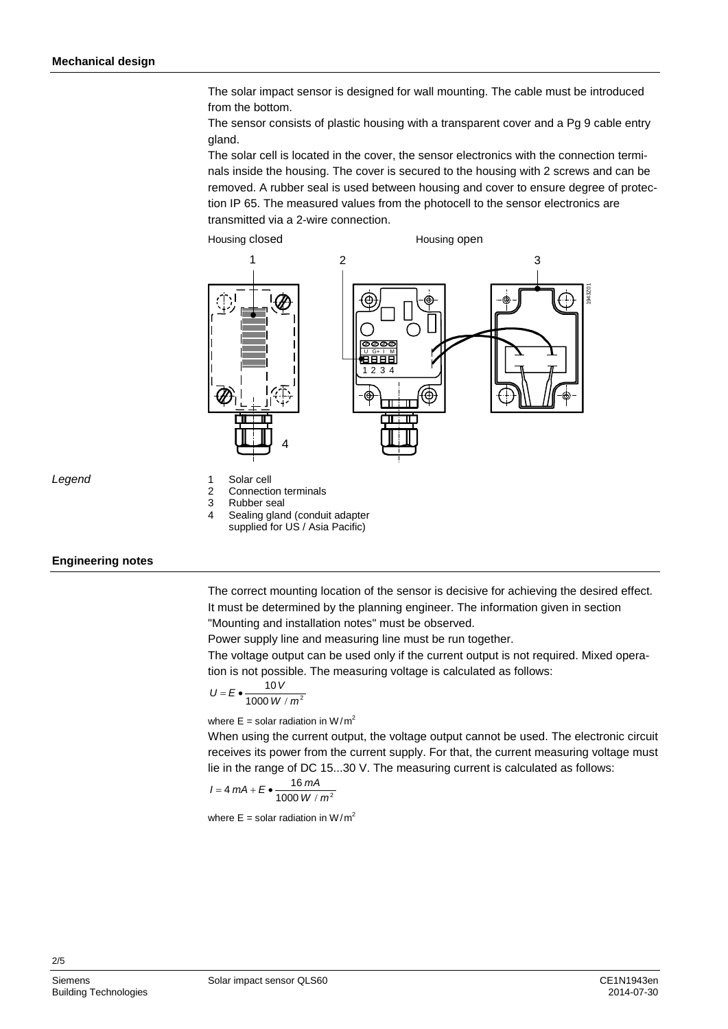The solar impact sensor is designed for wall mounting. The cable must be introduced from the bottom.

The sensor consists of plastic housing with a transparent cover and a Pg 9 cable entry gland.

The solar cell is located in the cover, the sensor electronics with the connection terminals inside the housing. The cover is secured to the housing with 2 screws and can be removed. A rubber seal is used between housing and cover to ensure degree of protection IP 65. The measured values from the photocell to the sensor electronics are transmitted via a 2-wire connection.



*Legend*

- 1 Solar cell<br>2 Connection 2 Connection terminals<br>3 Rubber seal
- 3 Rubber seal<br>4 Sealing glan
- Sealing gland (conduit adapter
- supplied for US / Asia Pacific)

### **Engineering notes**

The correct mounting location of the sensor is decisive for achieving the desired effect. It must be determined by the planning engineer. The information given in section "Mounting and installation notes" must be observed.

Power supply line and measuring line must be run together.

The voltage output can be used only if the current output is not required. Mixed operation is not possible. The measuring voltage is calculated as follows:

$$
U = E \bullet \frac{10 V}{1000 W / m^2}
$$

where  $E =$  solar radiation in W/m<sup>2</sup>

When using the current output, the voltage output cannot be used. The electronic circuit receives its power from the current supply. For that, the current measuring voltage must lie in the range of DC 15...30 V. The measuring current is calculated as follows:

$$
I = 4 mA + E \bullet \frac{16 mA}{1000 W / m^2}
$$

where  $E = \text{solar radiation in } W/m^2$ 

2/5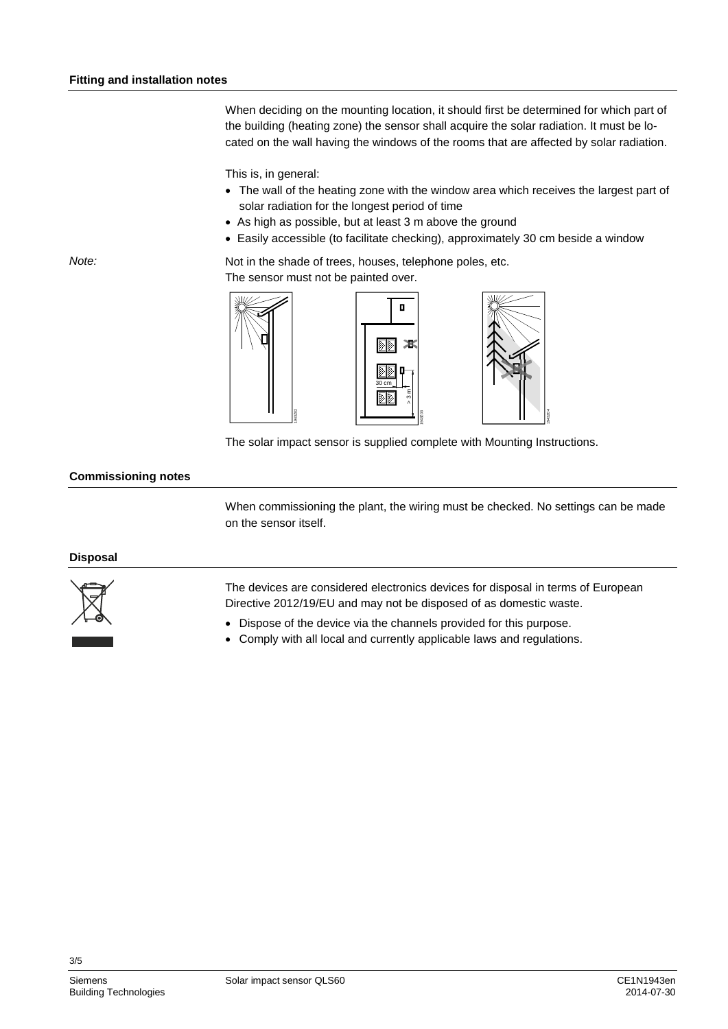When deciding on the mounting location, it should first be determined for which part of the building (heating zone) the sensor shall acquire the solar radiation. It must be located on the wall having the windows of the rooms that are affected by solar radiation.

This is, in general:

- The wall of the heating zone with the window area which receives the largest part of solar radiation for the longest period of time
- As high as possible, but at least 3 m above the ground
- Easily accessible (to facilitate checking), approximately 30 cm beside a window

Not in the shade of trees, houses, telephone poles, etc. The sensor must not be painted over.







The solar impact sensor is supplied complete with Mounting Instructions.

#### **Commissioning notes**

When commissioning the plant, the wiring must be checked. No settings can be made on the sensor itself.

#### **Disposal**



The devices are considered electronics devices for disposal in terms of European Directive 2012/19/EU and may not be disposed of as domestic waste.

- Dispose of the device via the channels provided for this purpose.
- Comply with all local and currently applicable laws and regulations.

*Note:*

3/5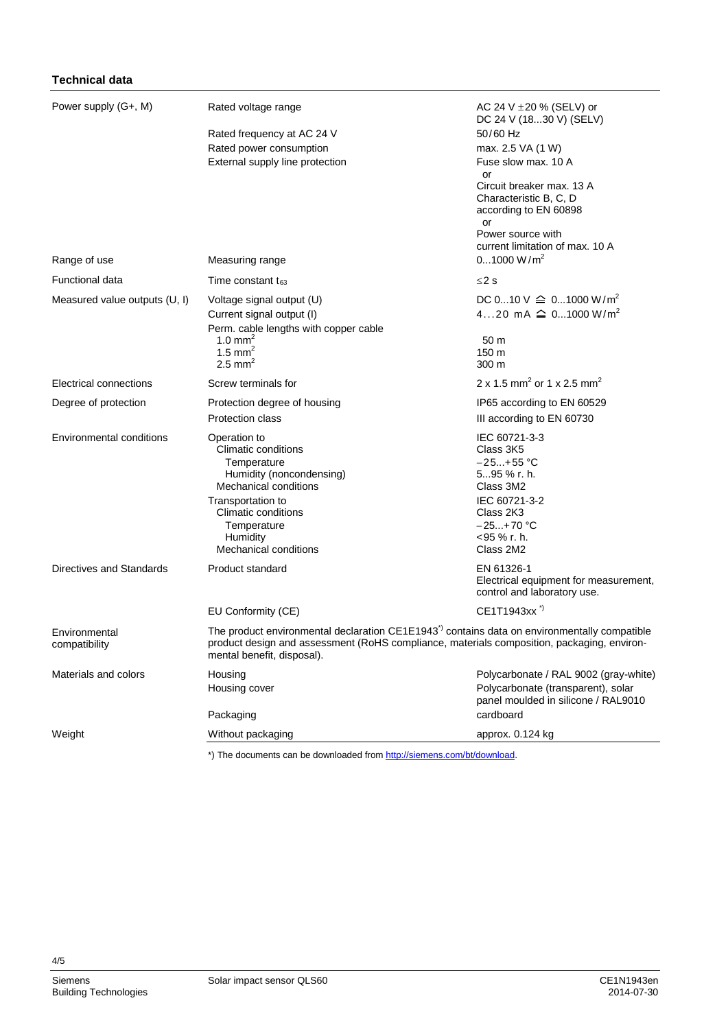| Power supply (G+, M)            | Rated voltage range                                                                                                                                                                                                                 | AC 24 V $\pm$ 20 % (SELV) or<br>DC 24 V (1830 V) (SELV)                            |
|---------------------------------|-------------------------------------------------------------------------------------------------------------------------------------------------------------------------------------------------------------------------------------|------------------------------------------------------------------------------------|
|                                 | Rated frequency at AC 24 V                                                                                                                                                                                                          | 50/60 Hz                                                                           |
|                                 | Rated power consumption                                                                                                                                                                                                             | max. 2.5 VA (1 W)                                                                  |
|                                 | External supply line protection                                                                                                                                                                                                     | Fuse slow max. 10 A                                                                |
|                                 |                                                                                                                                                                                                                                     | or<br>Circuit breaker max. 13 A<br>Characteristic B, C, D<br>according to EN 60898 |
|                                 |                                                                                                                                                                                                                                     | or<br>Power source with<br>current limitation of max. 10 A                         |
| Range of use                    | Measuring range                                                                                                                                                                                                                     | 01000 W/m <sup>2</sup>                                                             |
| Functional data                 | Time constant $t_{63}$                                                                                                                                                                                                              | $\leq$ 2 s                                                                         |
| Measured value outputs (U, I)   | Voltage signal output (U)                                                                                                                                                                                                           | DC 010 V $\cong$ 01000 W/m <sup>2</sup>                                            |
|                                 | Current signal output (I)                                                                                                                                                                                                           | 420 mA $\cong$ 01000 W/m <sup>2</sup>                                              |
|                                 | Perm. cable lengths with copper cable<br>1.0 mm <sup>2</sup>                                                                                                                                                                        | 50 m                                                                               |
|                                 | 1.5 mm <sup>2</sup>                                                                                                                                                                                                                 | 150 m                                                                              |
|                                 | 2.5 mm <sup>2</sup>                                                                                                                                                                                                                 | 300 m                                                                              |
| Electrical connections          | Screw terminals for                                                                                                                                                                                                                 | 2 x 1.5 mm <sup>2</sup> or 1 x 2.5 mm <sup>2</sup>                                 |
| Degree of protection            | Protection degree of housing                                                                                                                                                                                                        | IP65 according to EN 60529                                                         |
|                                 | <b>Protection class</b>                                                                                                                                                                                                             | III according to EN 60730                                                          |
| <b>Environmental conditions</b> | Operation to<br><b>Climatic conditions</b><br>Temperature<br>Humidity (noncondensing)<br><b>Mechanical conditions</b>                                                                                                               | IEC 60721-3-3<br>Class 3K5<br>$-25+55$ °C<br>595 % r. h.<br>Class 3M2              |
|                                 | Transportation to<br>Climatic conditions<br>Temperature<br>Humidity<br>Mechanical conditions                                                                                                                                        | IEC 60721-3-2<br>Class 2K3<br>$-25+70$ °C<br><95 % r. h.<br>Class 2M2              |
| Directives and Standards        | Product standard                                                                                                                                                                                                                    | EN 61326-1<br>Electrical equipment for measurement,<br>control and laboratory use. |
|                                 | EU Conformity (CE)                                                                                                                                                                                                                  | CE1T1943xx <sup>*)</sup>                                                           |
| Environmental<br>compatibility  | The product environmental declaration CE1E1943 <sup>*</sup> contains data on environmentally compatible<br>product design and assessment (RoHS compliance, materials composition, packaging, environ-<br>mental benefit, disposal). |                                                                                    |
| Materials and colors            | Housing                                                                                                                                                                                                                             | Polycarbonate / RAL 9002 (gray-white)                                              |
|                                 | Housing cover                                                                                                                                                                                                                       | Polycarbonate (transparent), solar<br>panel moulded in silicone / RAL9010          |
|                                 | Packaging                                                                                                                                                                                                                           | cardboard                                                                          |
| Weight                          | Without packaging                                                                                                                                                                                                                   | approx. 0.124 kg                                                                   |

\*) The documents can be downloaded fro[m http://siemens.com/bt/download.](http://siemens.com/bt/download)

**Technical data**